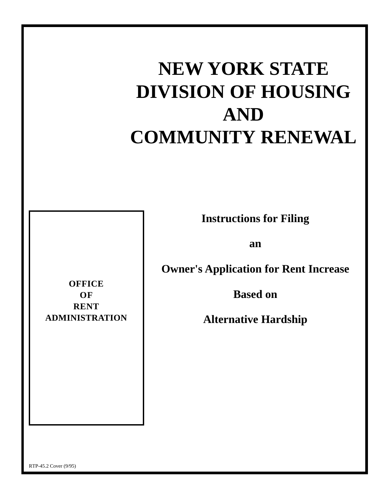# **NEW YORK STATE DIVISION OF HOUSING AND COMMUNITY RENEWAL**

**Instructions for Filing**

**an**

**Owner's Application for Rent Increase**

**Based on**

**Alternative Hardship**

**OFFICE OF RENT ADMINISTRATION**

RTP-45.2 Cover (9/95)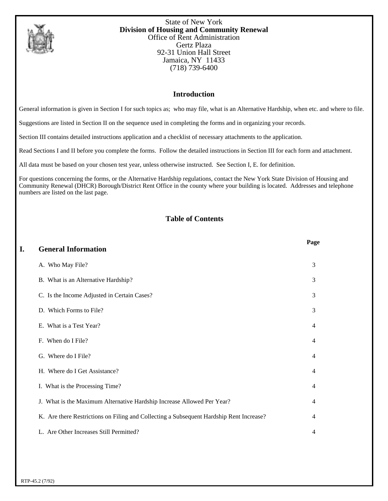

State of New York **Division of Housing and Community Renewal** Office of Rent Administration Gertz Plaza 92-31 Union Hall Street Jamaica, NY 11433 (718) 739-6400

# **Introduction**

General information is given in Section I for such topics as; who may file, what is an Alternative Hardship, when etc. and where to file.

Suggestions are listed in Section II on the sequence used in completing the forms and in organizing your records.

Section III contains detailed instructions application and a checklist of necessary attachments to the application.

Read Sections I and II before you complete the forms. Follow the detailed instructions in Section III for each form and attachment.

All data must be based on your chosen test year, unless otherwise instructed. See Section I, E. for definition.

For questions concerning the forms, or the Alternative Hardship regulations, contact the New York State Division of Housing and Community Renewal (DHCR) Borough/District Rent Office in the county where your building is located. Addresses and telephone numbers are listed on the last page.

# **Table of Contents**

| I. | <b>General Information</b>                                                              | Page           |
|----|-----------------------------------------------------------------------------------------|----------------|
|    | A. Who May File?                                                                        | 3              |
|    | B. What is an Alternative Hardship?                                                     | 3              |
|    | C. Is the Income Adjusted in Certain Cases?                                             | 3              |
|    | D. Which Forms to File?                                                                 | 3              |
|    | E. What is a Test Year?                                                                 | $\overline{4}$ |
|    | F. When do I File?                                                                      | $\overline{4}$ |
|    | G. Where do I File?                                                                     | $\overline{4}$ |
|    | H. Where do I Get Assistance?                                                           | $\overline{4}$ |
|    | I. What is the Processing Time?                                                         | $\overline{4}$ |
|    | J. What is the Maximum Alternative Hardship Increase Allowed Per Year?                  | 4              |
|    | K. Are there Restrictions on Filing and Collecting a Subsequent Hardship Rent Increase? | $\overline{4}$ |
|    | L. Are Other Increases Still Permitted?                                                 | 4              |
|    |                                                                                         |                |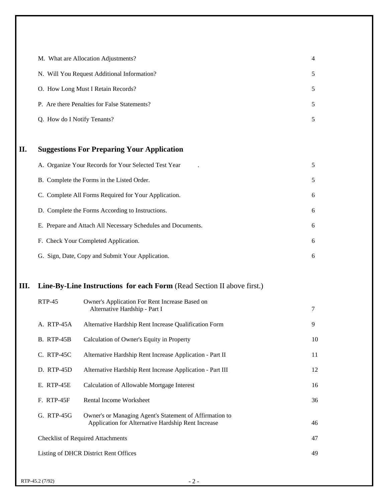|    | M. What are Allocation Adjustments?                                    | 4             |
|----|------------------------------------------------------------------------|---------------|
|    | N. Will You Request Additional Information?                            | $\mathfrak s$ |
|    | O. How Long Must I Retain Records?                                     | 5             |
|    | P. Are there Penalties for False Statements?                           | 5             |
|    | Q. How do I Notify Tenants?                                            | 5             |
|    |                                                                        |               |
| П. | <b>Suggestions For Preparing Your Application</b>                      |               |
|    | A. Organize Your Records for Your Selected Test Year                   | 5             |
|    | B. Complete the Forms in the Listed Order.                             | $\mathfrak s$ |
|    | C. Complete All Forms Required for Your Application.                   | 6             |
|    | D. Complete the Forms According to Instructions.                       | 6             |
|    | E. Prepare and Attach All Necessary Schedules and Documents.           | 6             |
|    | F. Check Your Completed Application.                                   | 6             |
|    | G. Sign, Date, Copy and Submit Your Application.                       | 6             |
|    |                                                                        |               |
| Ш. | Line-By-Line Instructions for each Form (Read Section II above first.) |               |

| $RTP-45$                                    | Owner's Application For Rent Increase Based on<br>Alternative Hardship - Part I                               | 7  |
|---------------------------------------------|---------------------------------------------------------------------------------------------------------------|----|
| A. RTP-45A                                  | Alternative Hardship Rent Increase Qualification Form                                                         | 9  |
| <b>B.</b> RTP-45B                           | Calculation of Owner's Equity in Property                                                                     | 10 |
| $C.$ RTP-45 $C$                             | Alternative Hardship Rent Increase Application - Part II                                                      | 11 |
| D. RTP-45D                                  | Alternative Hardship Rent Increase Application - Part III                                                     | 12 |
| E. RTP-45E                                  | Calculation of Allowable Mortgage Interest                                                                    | 16 |
| <b>F. RTP-45F</b>                           | Rental Income Worksheet                                                                                       | 36 |
| G. RTP-45G                                  | Owner's or Managing Agent's Statement of Affirmation to<br>Application for Alternative Hardship Rent Increase | 46 |
| <b>Checklist of Required Attachments</b>    |                                                                                                               |    |
| 49<br>Listing of DHCR District Rent Offices |                                                                                                               |    |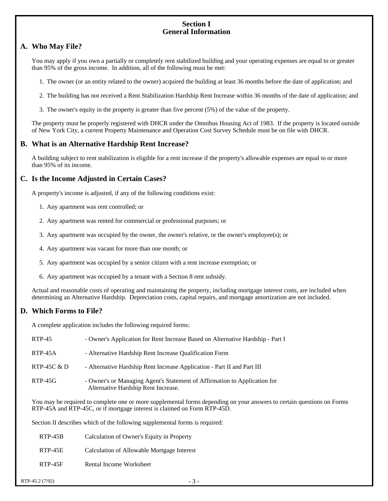#### **Section I General Information**

## **A. Who May File?**

You may apply if you own a partially or completely rent stabilized building and your operating expenses are equal to or greater than 95% of the gross income. In addition, all of the following must be met:

1. The owner (or an entity related to the owner) acquired the building at least 36 months before the date of application; and

- 2. The building has not received a Rent Stabilization Hardship Rent Increase within 36 months of the date of application; and
- 3. The owner's equity in the property is greater than five percent (5%) of the value of the property.

The property must be properly registered with DHCR under the Omnibus Housing Act of 1983. If the property is located outside of New York City, a current Property Maintenance and Operation Cost Survey Schedule must be on file with DHCR.

#### **B. What is an Alternative Hardship Rent Increase?**

A building subject to rent stabilization is eligible for a rent increase if the property's allowable expenses are equal to or more than 95% of its income.

#### **C. Is the Income Adjusted in Certain Cases?**

A property's income is adjusted, if any of the following conditions exist:

- 1. Any apartment was rent controlled; or
- 2. Any apartment was rented for commercial or professional purposes; or
- 3. Any apartment was occupied by the owner, the owner's relative, or the owner's employee(s); or
- 4. Any apartment was vacant for more than one month; or
- 5. Any apartment was occupied by a senior citizen with a rent increase exemption; or
- 6. Any apartment was occupied by a tenant with a Section 8 rent subsidy.

Actual and reasonable costs of operating and maintaining the property, including mortgage interest costs, are included when determining an Alternative Hardship. Depreciation costs, capital repairs, and mortgage amortization are not included.

#### **D. Which Forms to File?**

A complete application includes the following required forms:

| RTP-45        | - Owner's Application for Rent Increase Based on Alternative Hardship - Part I                                   |
|---------------|------------------------------------------------------------------------------------------------------------------|
| $RTP-45A$     | - Alternative Hardship Rent Increase Qualification Form                                                          |
| RTP-45C $\&D$ | - Alternative Hardship Rent Increase Application - Part II and Part III                                          |
| $RTP-45G$     | - Owner's or Managing Agent's Statement of Affirmation to Application for<br>Alternative Hardship Rent Increase. |

You may be required to complete one or more supplemental forms depending on your answers to certain questions on Forms RTP-45A and RTP-45C, or if mortgage interest is claimed on Form RTP-45D.

Section II describes which of the following supplemental forms is required:

| RTP-45B | Calculation of Owner's Equity in Property  |
|---------|--------------------------------------------|
| RTP-45E | Calculation of Allowable Mortgage Interest |
| RTP-45F | Rental Income Worksheet                    |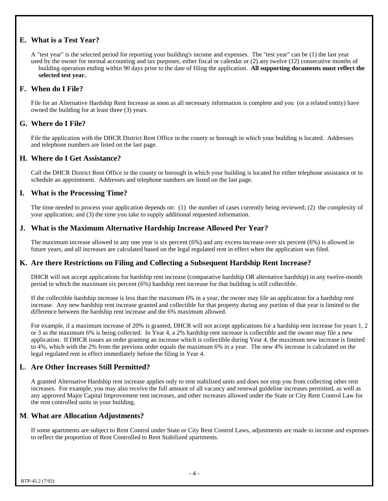## **E. What is a Test Year?**

A "test year" is the selected period for reporting your building's income and expenses. The "test year" can be (1) the last year used by the owner for normal accounting and tax purposes, either fiscal or calendar or (2) any twelve (12) consecutive months of building operation ending within 90 days prior to the date of filing the application. **All supporting documents must reflect the selected test year.**

## **F. When do I File?**

File for an Alternative Hardship Rent Increase as soon as all necessary information is complete and you (or a related entity) have owned the building for at least three (3) years.

## **G. Where do I File?**

File the application with the DHCR District Rent Office in the county or borough in which your building is located. Addresses and telephone numbers are listed on the last page.

#### **H. Where do I Get Assistance?**

Call the DHCR District Rent Office in the county or borough in which your building is located for either telephone assistance or to schedule an appointment. Addresses and telephone numbers are listed on the last page.

#### **I. What is the Processing Time?**

The time needed to process your application depends on: (1) the number of cases currently being reviewed; (2) the complexity of your application; and (3) the time you take to supply additional requested information.

## **J. What is the Maximum Alternative Hardship Increase Allowed Per Year?**

The maximum increase allowed in any one year is six percent (6%) and any excess increase over six percent (6%) is allowed in future years, and all increases are calculated based on the legal regulated rent in effect when the application was filed.

## **K. Are there Restrictions on Filing and Collecting a Subsequent Hardship Rent Increase?**

DHCR will not accept applications for hardship rent increase (comparative hardship OR alternative hardship) in any twelve-month period in which the maximum six percent (6%) hardship rent increase for that building is still collectible.

If the collectible hardship increase is less than the maximum 6% in a year, the owner may file an application for a hardship rent increase. Any new hardship rent increase granted and collectible for that property during any portion of that year is limited to the difference between the hardship rent increase and the 6% maximum allowed.

For example, if a maximum increase of 20% is granted, DHCR will not accept applications for a hardship rent increase for years 1, 2 or 3 as the maximum 6% is being collected. In Year 4, a 2% hardship rent increase is collectible and the owner may file a new application. If DHCR issues an order granting an increase which is collectible during Year 4, the maximum new increase is limited to 4%, which with the 2% from the previous order equals the maximum 6% in a year. The new 4% increase is calculated on the legal regulated rent in effect immediately before the filing in Year 4.

## **L**. **Are Other Increases Still Permitted?**

A granted Alternative Hardship rent increase applies only to rent stabilized units and does not stop you from collecting other rent increases. For example, you may also receive the full amount of all vacancy and renewal guideline increases permitted, as well as any approved Major Capital Improvement rent increases, and other increases allowed under the State or City Rent Control Law for the rent controlled units in your building.

## **M**. **What are Allocation Adjustments?**

If some apartments are subject to Rent Control under State or City Rent Control Laws, adjustments are made to income and expenses to reflect the proportion of Rent Controlled to Rent Stabilized apartments.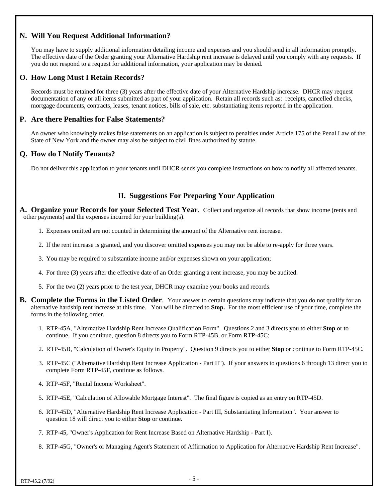## **N. Will You Request Additional Information?**

You may have to supply additional information detailing income and expenses and you should send in all information promptly. The effective date of the Order granting your Alternative Hardship rent increase is delayed until you comply with any requests. If you do not respond to a request for additional information, your application may be denied.

## **O. How Long Must I Retain Records?**

Records must be retained for three (3) years after the effective date of your Alternative Hardship increase. DHCR may request documentation of any or all items submitted as part of your application. Retain all records such as: receipts, cancelled checks, mortgage documents, contracts, leases, tenant notices, bills of sale, etc. substantiating items reported in the application.

#### **P. Are there Penalties for False Statements?**

An owner who knowingly makes false statements on an application is subject to penalties under Article 175 of the Penal Law of the State of New York and the owner may also be subject to civil fines authorized by statute.

## **Q. How do I Notify Tenants?**

Do not deliver this application to your tenants until DHCR sends you complete instructions on how to notify all affected tenants.

## **II. Suggestions For Preparing Your Application**

**A. Organize your Records for your Selected Test Year**. Collect and organize all records that show income (rents and other payments) and the expenses incurred for your building(s).

- 1. Expenses omitted are not counted in determining the amount of the Alternative rent increase.
- 2. If the rent increase is granted, and you discover omitted expenses you may not be able to re-apply for three years.
- 3. You may be required to substantiate income and/or expenses shown on your application;
- 4. For three (3) years after the effective date of an Order granting a rent increase, you may be audited.
- 5. For the two (2) years prior to the test year, DHCR may examine your books and records.
- **B. Complete the Forms in the Listed Order**. Your answer to certain questions may indicate that you do not qualify for an alternative hardship rent increase at this time. You will be directed to **Stop.** For the most efficient use of your time, complete the forms in the following order.
	- 1. RTP-45A, "Alternative Hardship Rent Increase Qualification Form". Questions 2 and 3 directs you to either **Stop** or to continue. If you continue, question 8 directs you to Form RTP-45B, or Form RTP-45C;
	- 2. RTP-45B, "Calculation of Owner's Equity in Property". Question 9 directs you to either **Stop** or continue to Form RTP-45C.
	- 3. RTP-45C ("Alternative Hardship Rent Increase Application Part II"). If your answers to questions 6 through 13 direct you to complete Form RTP-45F, continue as follows.
	- 4. RTP-45F, "Rental Income Worksheet".
	- 5. RTP-45E, "Calculation of Allowable Mortgage Interest". The final figure is copied as an entry on RTP-45D.
	- 6. RTP-45D, "Alternative Hardship Rent Increase Application Part III, Substantiating Information". Your answer to question 18 will direct you to either **Stop** or continue.
	- 7. RTP-45, "Owner's Application for Rent Increase Based on Alternative Hardship Part I).
	- 8. RTP-45G, "Owner's or Managing Agent's Statement of Affirmation to Application for Alternative Hardship Rent Increase".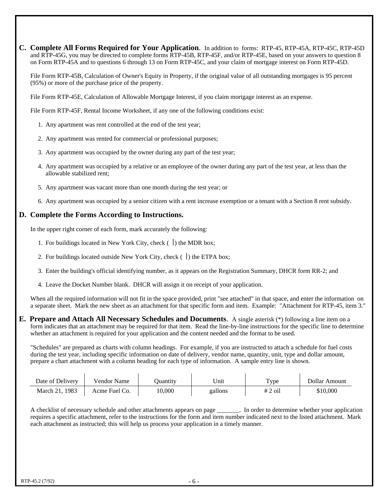**C. Complete All Forms Required for Your Application**. In addition to forms: RTP-45, RTP-45A, RTP-45C, RTP-45D and RTP-45G, you may be directed to complete forms RTP-45B, RTP-45F, and/or RTP-45E, based on your answers to question 8 on Form RTP-45A and to questions 6 through 13 on Form RTP-45C, and your claim of mortgage interest on Form RTP-45D.

File Form RTP-45B, Calculation of Owner's Equity in Property, if the original value of all outstanding mortgages is 95 percent (95%) or more of the purchase price of the property.

File Form RTP-45E, Calculation of Allowable Mortgage Interest, if you claim mortgage interest as an expense.

File Form RTP-45F, Rental Income Worksheet, if any one of the following conditions exist:

- 1. Any apartment was rent controlled at the end of the test year;
- 2. Any apartment was rented for commercial or professional purposes;
- 3. Any apartment was occupied by the owner during any part of the test year;
- 4. Any apartment was occupied by a relative or an employee of the owner during any part of the test year, at less than the allowable stabilized rent;
- 5. Any apartment was vacant more than one month during the test year; or
- 6. Any apartment was occupied by a senior citizen with a rent increase exemption or a tenant with a Section 8 rent subsidy.

#### **D. Complete the Forms According to Instructions.**

In the upper right corner of each form, mark accurately the following:

- 1. For buildings located in New York City, check  $( \ )$  the MDR box;
- 2. For buildings located outside New York City, check  $( )$  the ETPA box;
- 3. Enter the building's official identifying number, as it appears on the Registration Summary, DHCR form RR-2; and
- 4. Leave the Docket Number blank. DHCR will assign it on receipt of your application.

When all the required information will not fit in the space provided, print "see attached" in that space, and enter the information on a separate sheet. Mark the new sheet as an attachment for that specific form and item. Example: "Attachment for RTP-45, item 3."

**E. Prepare and Attach All Necessary Schedules and Documents**. A single asterisk (\*) following a line item on a form indicates that an attachment may be required for that item. Read the line-by-line instructions for the specific line to determine whether an attachment is required for your application and the content needed and the format to be used.

"Schedules" are prepared as charts with column headings. For example, if you are instructed to attach a schedule for fuel costs during the test year, including specific information on date of delivery, vendor name, quantity, unit, type and dollar amount, prepare a chart attachment with a column heading for each type of information. A sample entry line is shown.

| Date of Delivery | Vendor Name   | Ouantity | ™Init   | Type      | Dollar Amount |
|------------------|---------------|----------|---------|-----------|---------------|
| March 21, 1983   | Acme Fuel Co. | 10.000   | gallons | $# 2$ oil | \$10.000      |

A checklist of necessary schedule and other attachments appears on page \_\_\_\_\_\_\_. In order to determine whether your application requires a specific attachment, refer to the instructions for the form and item number indicated next to the listed attachment. Mark each attachment as instructed; this will help us process your application in a timely manner.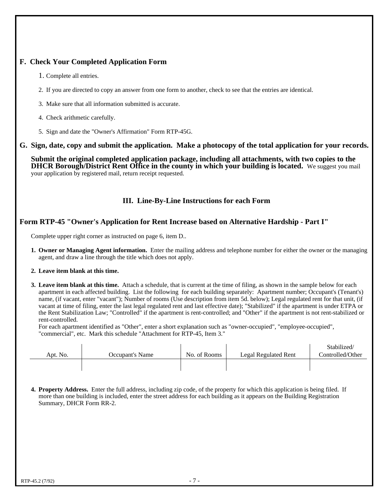# **F. Check Your Completed Application Form**

- 1. Complete all entries.
- 2. If you are directed to copy an answer from one form to another, check to see that the entries are identical.
- 3. Make sure that all information submitted is accurate.
- 4. Check arithmetic carefully.
- 5. Sign and date the "Owner's Affirmation" Form RTP-45G.

#### **G. Sign, date, copy and submit the application. Make a photocopy of the total application for your records.**

**Submit the original completed application package, including all attachments, with two copies to the DHCR Borough/District Rent Office in the county in which your building is located.** We suggest you mail your application by registered mail, return receipt requested.

## **III. Line-By-Line Instructions for each Form**

## **Form RTP-45 "Owner's Application for Rent Increase based on Alternative Hardship - Part I"**

Complete upper right corner as instructed on page 6, item D..

- **1. Owner or Managing Agent information.** Enter the mailing address and telephone number for either the owner or the managing agent, and draw a line through the title which does not apply.
- **2. Leave item blank at this time.**
- **3. Leave item blank at this time.** Attach a schedule, that is current at the time of filing, as shown in the sample below for each apartment in each affected building. List the following for each building separately: Apartment number; Occupant's (Tenant's) name, (if vacant, enter "vacant"); Number of rooms (Use description from item 5d. below); Legal regulated rent for that unit, (if vacant at time of filing, enter the last legal regulated rent and last effective date); "Stabilized" if the apartment is under ETPA or the Rent Stabilization Law; "Controlled" if the apartment is rent-controlled; and "Other" if the apartment is not rent-stabilized or rent-controlled.

For each apartment identified as "Other", enter a short explanation such as "owner-occupied", "employee-occupied", "commercial", etc. Mark this schedule "Attachment for RTP-45, Item 3."

| Apt. No. | Occupant's Name | No. of Rooms | Legal Regulated Rent | Stabilized/<br>Controlled/Other |
|----------|-----------------|--------------|----------------------|---------------------------------|
|          |                 |              |                      |                                 |

**4. Property Address.** Enter the full address, including zip code, of the property for which this application is being filed. If more than one building is included, enter the street address for each building as it appears on the Building Registration Summary, DHCR Form RR-2.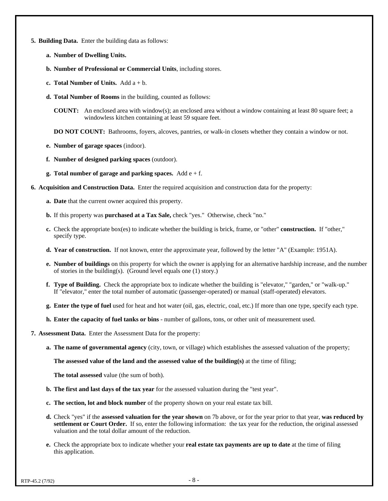- **5. Building Data.** Enter the building data as follows:
	- **a. Number of Dwelling Units.**
	- **b. Number of Professional or Commercial Units**, including stores.
	- **c. Total Number of Units.** Add a + b.
	- **d. Total Number of Rooms** in the building, counted as follows:
		- **COUNT:** An enclosed area with window(s); an enclosed area without a window containing at least 80 square feet; a windowless kitchen containing at least 59 square feet.

**DO NOT COUNT:** Bathrooms, foyers, alcoves, pantries, or walk-in closets whether they contain a window or not.

- **e. Number of garage spaces** (indoor).
- **f. Number of designed parking spaces** (outdoor).
- **g. Total number of garage and parking spaces.** Add e + f.

**6. Acquisition and Construction Data.** Enter the required acquisition and construction data for the property:

- **a. Date** that the current owner acquired this property.
- **b.** If this property was **purchased at a Tax Sale,** check "yes." Otherwise, check "no."
- **c.** Check the appropriate box(es) to indicate whether the building is brick, frame, or "other" **construction.** If "other," specify type.
- **d. Year of construction.** If not known, enter the approximate year, followed by the letter "A" (Example: 1951A).
- **e. Number of buildings** on this property for which the owner is applying for an alternative hardship increase, and the number of stories in the building(s). (Ground level equals one (1) story.)
- **f. Type of Building.** Check the appropriate box to indicate whether the building is "elevator," "garden," or "walk-up." If "elevator," enter the total number of automatic (passenger-operated) or manual (staff-operated) elevators.
- **g. Enter the type of fuel** used for heat and hot water (oil, gas, electric, coal, etc.) If more than one type, specify each type.
- **h. Enter the capacity of fuel tanks or bins** number of gallons, tons, or other unit of measurement used.
- **7. Assessment Data.** Enter the Assessment Data for the property:
	- **a. The name of governmental agency** (city, town, or village) which establishes the assessed valuation of the property;

**The assessed value of the land and the assessed value of the building(s)** at the time of filing;

**The total assessed** value (the sum of both).

- **b. The first and last days of the tax year** for the assessed valuation during the "test year".
- **c. The section, lot and block number** of the property shown on your real estate tax bill.
- **d.** Check "yes" if the **assessed valuation for the year shown** on 7b above, or for the year prior to that year, **was reduced by settlement or Court Order.** If so, enter the following information: the tax year for the reduction, the original assessed valuation and the total dollar amount of the reduction.
- **e.** Check the appropriate box to indicate whether your **real estate tax payments are up to date** at the time of filing this application.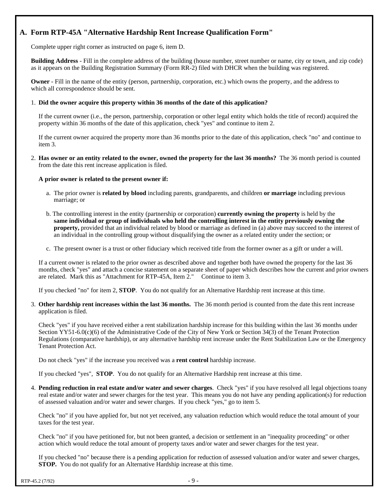# **A. Form RTP-45A "Alternative Hardship Rent Increase Qualification Form"**

Complete upper right corner as instructed on page 6, item D.

**Building Address** - Fill in the complete address of the building (house number, street number or name, city or town, and zip code) as it appears on the Building Registration Summary (Form RR-2) filed with DHCR when the building was registered.

**Owner** - Fill in the name of the entity (person, partnership, corporation, etc.) which owns the property, and the address to which all correspondence should be sent.

#### 1. **Did the owner acquire this property within 36 months of the date of this application?**

If the current owner (i.e., the person, partnership, corporation or other legal entity which holds the title of record) acquired the property within 36 months of the date of this application, check "yes" and continue to item 2.

If the current owner acquired the property more than 36 months prior to the date of this application, check "no" and continue to item 3.

2. **Has owner or an entity related to the owner, owned the property for the last 36 months?** The 36 month period is counted from the date this rent increase application is filed.

#### **A prior owner is related to the present owner if:**

- a. The prior owner is **related by blood** including parents, grandparents, and children **or marriage** including previous marriage; or
- b. The controlling interest in the entity (partnership or corporation) **currently owning the property** is held by the **same individual or group of individuals who held the controlling interest in the entity previously owning the property,** provided that an individual related by blood or marriage as defined in (a) above may succeed to the interest of an individual in the controlling group without disqualifying the owner as a related entity under the section; or
- c. The present owner is a trust or other fiduciary which received title from the former owner as a gift or under a will.

If a current owner is related to the prior owner as described above and together both have owned the property for the last 36 months, check "yes" and attach a concise statement on a separate sheet of paper which describes how the current and prior owners are related. Mark this as "Attachment for RTP-45A, Item 2." Continue to item 3.

If you checked "no" for item 2, **STOP**. You do not qualify for an Alternative Hardship rent increase at this time.

3. **Other hardship rent increases within the last 36 months.** The 36 month period is counted from the date this rent increase application is filed.

Check "yes" if you have received either a rent stabilization hardship increase for this building within the last 36 months under Section YY51-6.0(c)(6) of the Administrative Code of the City of New York or Section 34(3) of the Tenant Protection Regulations (comparative hardship), or any alternative hardship rent increase under the Rent Stabilization Law or the Emergency Tenant Protection Act.

Do not check "yes" if the increase you received was a **rent control** hardship increase.

If you checked "yes", **STOP**. You do not qualify for an Alternative Hardship rent increase at this time.

4. **Pending reduction in real estate and/or water and sewer charges**. Check "yes" if you have resolved all legal objections toany real estate and/or water and sewer charges for the test year. This means you do not have any pending application(s) for reduction of assessed valuation and/or water and sewer charges. If you check "yes," go to item 5.

Check "no" if you have applied for, but not yet received, any valuation reduction which would reduce the total amount of your taxes for the test year.

Check "no" if you have petitioned for, but not been granted, a decision or settlement in an "inequality proceeding" or other action which would reduce the total amount of property taxes and/or water and sewer charges for the test year.

If you checked "no" because there is a pending application for reduction of assessed valuation and/or water and sewer charges, **STOP.** You do not qualify for an Alternative Hardship increase at this time.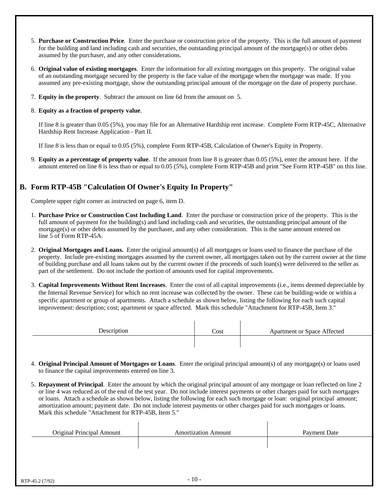- 5. **Purchase or Construction Price**. Enter the purchase or construction price of the property. This is the full amount of payment for the building and land including cash and securities, the outstanding principal amount of the mortgage(s) or other debts assumed by the purchaser, and any other considerations.
- 6. **Original value of existing mortgages**. Enter the information for all existing mortgages on this property. The original value of an outstanding mortgage secured by the property is the face value of the mortgage when the mortgage was made. If you assumed any pre-existing mortgage, show the outstanding principal amount of the mortgage on the date of property purchase.
- 7. **Equity in the property**. Subtract the amount on line 6d from the amount on 5.
- 8. **Equity as a fraction of property value**.

If line 8 is greater than 0.05 (5%), you may file for an Alternative Hardship rent increase. Complete Form RTP-45C, Alternative Hardship Rent Increase Application - Part II.

If line 8 is less than or equal to 0.05 (5%), complete Form RTP-45B, Calculation of Owner's Equity in Property.

9. **Equity as a percentage of property value**. If the amount from line 8 is greater than 0.05 (5%), enter the amount here. If the amount entered on line 8 is less than or equal to 0.05 (5%), complete Form RTP-45B and print "See Form RTP-45B" on this line.

# **B. Form RTP-45B "Calculation Of Owner's Equity In Property"**

Complete upper right corner as instructed on page 6, item D.

- 1. **Purchase Price or Construction Cost Including Land**. Enter the purchase or construction price of the property. This is the full amount of payment for the building(s) and land including cash and securities, the outstanding principal amount of the mortgage(s) or other debts assumed by the purchaser, and any other consideration. This is the same amount entered on line 5 of Form RTP-45A.
- 2. **Original Mortgages and Loans.** Enter the original amount(s) of all mortgages or loans used to finance the purchase of the property. Include pre-existing mortgages assumed by the current owner, all mortgages taken out by the current owner at the time of building purchase and all loans taken out by the current owner if the proceeds of such loan(s) were delivered to the seller as part of the settlement. Do not include the portion of amounts used for capital improvements.
- 3. **Capital Improvements Without Rent Increases**. Enter the cost of all capital improvements (i.e., items deemed depreciable by the Internal Revenue Service) for which no rent increase was collected by the owner. These can be building-wide or within a specific apartment or group of apartments. Attach a schedule as shown below, listing the following for each such capital improvement: description; cost; apartment or space affected. Mark this schedule "Attachment for RTP-45B, Item 3."

| Description | Cost | Apartment or Space Affected |
|-------------|------|-----------------------------|
|             |      |                             |

- 4. **Original Principal Amount of Mortgages or Loans**. Enter the original principal amount(s) of any mortgage(s) or loans used to finance the capital improvements entered on line 3.
- 5. **Repayment of Principal**. Enter the amount by which the original principal amount of any mortgage or loan reflected on line 2 or line 4 was reduced as of the end of the test year. Do not include interest payments or other charges paid for such mortgages or loans. Attach a schedule as shown below, listing the following for each such mortgage or loan: original principal amount; amortization amount; payment date. Do not include interest payments or other charges paid for such mortgages or loans. Mark this schedule "Attachment for RTP-45B, Item 5."

| <b>Amortization Amount</b> | Payment Date |
|----------------------------|--------------|
|                            |              |
|                            |              |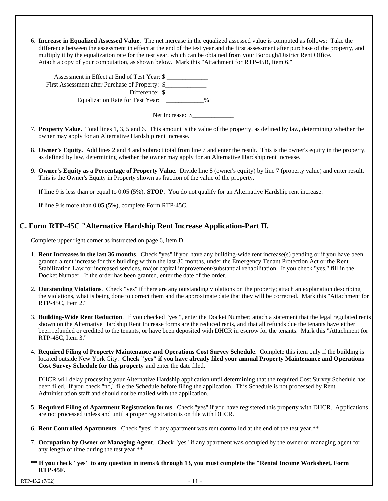6. **Increase in Equalized Assessed Value**. The net increase in the equalized assessed value is computed as follows: Take the difference between the assessment in effect at the end of the test year and the first assessment after purchase of the property, and multiply it by the equalization rate for the test year, which can be obtained from your Borough/District Rent Office. Attach a copy of your computation, as shown below. Mark this "Attachment for RTP-45B, Item 6."

Assessment in Effect at End of Test Year: \$ First Assessment after Purchase of Property: \$ Difference: \$\_\_\_\_\_\_\_\_\_\_\_\_\_ Equalization Rate for Test Year: \_\_\_\_\_\_\_\_\_\_\_\_ %

Net Increase: \$\_\_\_\_\_\_\_\_\_\_\_\_\_

- 7. **Property Value.** Total lines 1, 3, 5 and 6. This amount is the value of the property, as defined by law, determining whether the owner may apply for an Alternative Hardship rent increase.
- 8. **Owner's Equity.** Add lines 2 and 4 and subtract total from line 7 and enter the result. This is the owner's equity in the property, as defined by law, determining whether the owner may apply for an Alternative Hardship rent increase.
- 9. **Owner's Equity as a Percentage of Property Value.** Divide line 8 (owner's equity) by line 7 (property value) and enter result. This is the Owner's Equity in Property shown as fraction of the value of the property.

If line 9 is less than or equal to 0.05 (5%), **STOP**. You do not qualify for an Alternative Hardship rent increase.

If line 9 is more than 0.05 (5%), complete Form RTP-45C.

## **C. Form RTP-45C "Alternative Hardship Rent Increase Application-Part II.**

Complete upper right corner as instructed on page 6, item D.

- 1. **Rent Increases in the last 36 months**. Check "yes" if you have any building-wide rent increase(s) pending or if you have been granted a rent increase for this building within the last 36 months, under the Emergency Tenant Protection Act or the Rent Stabilization Law for increased services, major capital improvement/substantial rehabilitation. If you check "yes," fill in the Docket Number. If the order has been granted, enter the date of the order.
- 2**. Outstanding Violations**. Check "yes" if there are any outstanding violations on the property; attach an explanation describing the violations, what is being done to correct them and the approximate date that they will be corrected. Mark this "Attachment for RTP-45C, Item 2."
- 3. **Building-Wide Rent Reduction**. If you checked "yes ", enter the Docket Number; attach a statement that the legal regulated rents shown on the Alternative Hardship Rent Increase forms are the reduced rents, and that all refunds due the tenants have either been refunded or credited to the tenants, or have been deposited with DHCR in escrow for the tenants. Mark this "Attachment for RTP-45C, Item 3."
- 4. **Required Filing of Property Maintenance and Operations Cost Survey Schedule**. Complete this item only if the building is located outside New York City. **Check "yes" if you have already filed your annual Property Maintenance and Operations Cost Survey Schedule for this property** and enter the date filed.

DHCR will delay processing your Alternative Hardship application until determining that the required Cost Survey Schedule has been filed. If you check "no," file the Schedule before filing the application. This Schedule is not processed by Rent Administration staff and should not be mailed with the application.

- 5. **Required Filing of Apartment Registration forms**. Check "yes" if you have registered this property with DHCR. Applications are not processed unless and until a proper registration is on file with DHCR.
- 6. **Rent Controlled Apartments**. Check "yes" if any apartment was rent controlled at the end of the test year.\*\*
- 7. **Occupation by Owner or Managing Agent**. Check "yes" if any apartment was occupied by the owner or managing agent for any length of time during the test year.\*\*
- **\*\* If you check "yes" to any question in items 6 through 13, you must complete the "Rental Income Worksheet, Form RTP-45F.**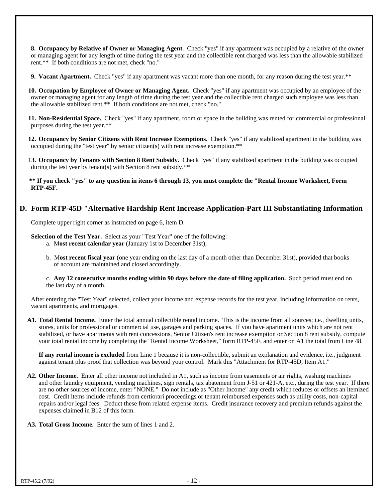**8. Occupancy by Relative of Owner or Managing Agent**. Check "yes" if any apartment was occupied by a relative of the owner or managing agent for any length of time during the test year and the collectible rent charged was less than the allowable stabilized rent.\*\* If both conditions are not met, check "no."

**9. Vacant Apartment.** Check "yes" if any apartment was vacant more than one month, for any reason during the test year.\*\*

 **10. Occupation by Employee of Owner or Managing Agent.** Check "yes" if any apartment was occupied by an employee of the owner or managing agent for any length of time during the test year and the collectible rent charged such employee was less than the allowable stabilized rent.\*\* If both conditions are not met, check "no."

 **11. Non-Residential Space.** Check "yes" if any apartment, room or space in the building was rented for commercial or professional purposes during the test year.\*\*

 **12. Occupancy by Senior Citizens with Rent Increase Exemptions.** Check "yes" if any stabilized apartment in the building was occupied during the "test year" by senior citizen(s) with rent increase exemption.\*\*

 1**3. Occupancy by Tenants with Section 8 Rent Subsidy.** Check "yes" if any stabilized apartment in the building was occupied during the test year by tenant(s) with Section 8 rent subsidy.\*\*

**\*\* If you check "yes" to any question in items 6 through 13, you must complete the "Rental Income Worksheet, Form RTP-45F.**

## **D. Form RTP-45D "Alternative Hardship Rent Increase Application-Part III Substantiating Information**

Complete upper right corner as instructed on page 6, item D.

**Selection of the Test Year.** Select as your "Test Year" one of the following:

- a. M**ost recent calendar year** (January 1st to December 31st);
- b. M**ost recent fiscal year** (one year ending on the last day of a month other than December 31st), provided that books of account are maintained and closed accordingly.

c. **Any 12 consecutive months ending within 90 days before the date of filing application.** Such period must end on the last day of a month.

After entering the "Test Year" selected, collect your income and expense records for the test year, including information on rents, vacant apartments, and mortgages.

**A1. Total Rental Income.** Enter the total annual collectible rental income. This is the income from all sources; i.e., dwelling units, stores, units for professional or commercial use, garages and parking spaces. If you have apartment units which are not rent stabilized, or have apartments with rent concessions, Senior Citizen's rent increase exemption or Section 8 rent subsidy, compute your total rental income by completing the "Rental Income Worksheet," form RTP-45F, and enter on A1 the total from Line 48.

**If any rental income is excluded** from Line 1 because it is non-collectible, submit an explanation and evidence, i.e., judgment against tenant plus proof that collection was beyond your control. Mark this "Attachment for RTP-45D, Item A1."

- **A2. Other Income.** Enter all other income not included in A1, such as income from easements or air rights, washing machines and other laundry equipment, vending machines, sign rentals, tax abatement from J-51 or 421-A, etc., during the test year. If there are no other sources of income, enter "NONE." Do not include as "Other Income" any credit which reduces or offsets an itemized cost. Credit items include refunds from certiorari proceedings or tenant reimbursed expenses such as utility costs, non-capital repairs and/or legal fees. Deduct these from related expense items. Credit insurance recovery and premium refunds against the expenses claimed in B12 of this form.
- **A3. Total Gross Income.** Enter the sum of lines 1 and 2.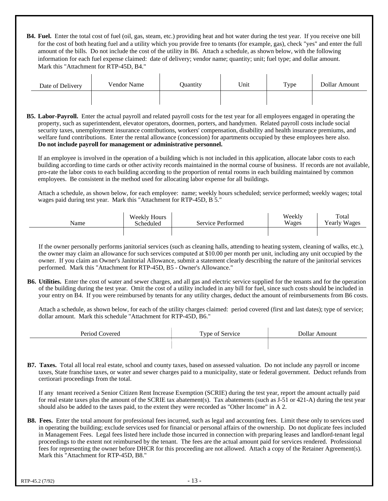**B4. Fuel.** Enter the total cost of fuel (oil, gas, steam, etc.) providing heat and hot water during the test year. If you receive one bill for the cost of both heating fuel and a utility which you provide free to tenants (for example, gas), check "yes" and enter the full amount of the bills. Do not include the cost of the utility in B6. Attach a schedule, as shown below, with the following information for each fuel expense claimed: date of delivery; vendor name; quantity; unit; fuel type; and dollar amount. Mark this "Attachment for RTP-45D, B4."

 $\mathbf{r}$ 

| Date of Delivery | Vendor Name | Ouantity | Unit | Type | Dollar Amount |
|------------------|-------------|----------|------|------|---------------|
|                  |             |          |      |      |               |

**B5. Labor-Payroll.** Enter the actual payroll and related payroll costs for the test year for all employees engaged in operating the property, such as superintendent, elevator operators, doormen, porters, and handymen. Related payroll costs include social security taxes, unemployment insurance contributions, workers' compensation, disability and health insurance premiums, and welfare fund contributions. Enter the rental allowance (concession) for apartments occupied by these employees here also. **Do not include payroll for management or administrative personnel.**

If an employee is involved in the operation of a building which is not included in this application, allocate labor costs to each building according to time cards or other activity records maintained in the normal course of business. If records are not available, pro-rate the labor costs to each building according to the proportion of rental rooms in each building maintained by common employees. Be consistent in the method used for allocating labor expense for all buildings.

Attach a schedule, as shown below, for each employee: name; weekly hours scheduled; service performed; weekly wages; total wages paid during test year. Mark this "Attachment for RTP-45D, B 5."

| Name | Weekly Hours<br>Scheduled | Service Performed | Weekly<br>Wages | Total<br><b>Yearly Wages</b> |
|------|---------------------------|-------------------|-----------------|------------------------------|
|      |                           |                   |                 |                              |

If the owner personally performs janitorial services (such as cleaning halls, attending to heating system, cleaning of walks, etc.), the owner may claim an allowance for such services computed at \$10.00 per month per unit, including any unit occupied by the owner. If you claim an Owner's Janitorial Allowance, submit a statement clearly describing the nature of the janitorial services performed. Mark this "Attachment for RTP-45D, B5 - Owner's Allowance."

**B6. Utilities.** Enter the cost of water and sewer charges, and all gas and electric service supplied for the tenants and for the operation of the building during the test year. Omit the cost of a utility included in any bill for fuel, since such costs should be included in your entry on B4. If you were reimbursed by tenants for any utility charges, deduct the amount of reimbursements from B6 costs.

Attach a schedule, as shown below, for each of the utility charges claimed: period covered (first and last dates); type of service; dollar amount. Mark this schedule "Attachment for RTP-45D, B6."

| Period Covered | Type of Service | Dollar Amount |
|----------------|-----------------|---------------|
|                |                 |               |

**B7. Taxes.** Total all local real estate, school and county taxes, based on assessed valuation. Do not include any payroll or income taxes, State franchise taxes, or water and sewer charges paid to a municipality, state or federal government. Deduct refunds from certiorari proceedings from the total.

If any tenant received a Senior Citizen Rent Increase Exemption (SCRIE) during the test year, report the amount actually paid for real estate taxes plus the amount of the SCRIE tax abatement(s). Tax abatements (such as J-51 or 421-A) during the test year should also be added to the taxes paid, to the extent they were recorded as "Other Income" in A 2.

**B8. Fees.** Enter the total amount for professional fees incurred, such as legal and accounting fees. Limit these only to services used in operating the building; exclude services used for financial or personal affairs of the ownership. Do not duplicate fees included in Management Fees. Legal fees listed here include those incurred in connection with preparing leases and landlord-tenant legal proceedings to the extent not reimbursed by the tenant. The fees are the actual amount paid for services rendered. Professional fees for representing the owner before DHCR for this proceeding are not allowed. Attach a copy of the Retainer Agreement(s). Mark this "Attachment for RTP-45D, B8."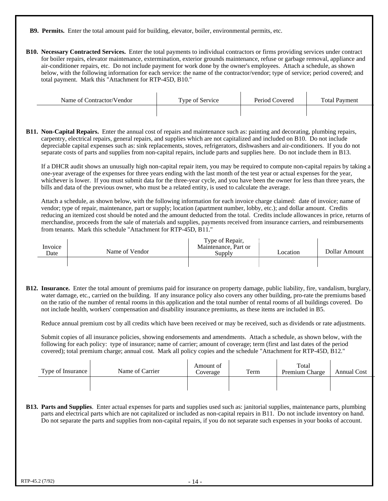**B9. Permits.** Enter the total amount paid for building, elevator, boiler, environmental permits, etc.

**B10. Necessary Contracted Services.** Enter the total payments to individual contractors or firms providing services under contract for boiler repairs, elevator maintenance, extermination, exterior grounds maintenance, refuse or garbage removal, appliance and air-conditioner repairs, etc. Do not include payment for work done by the owner's employees. Attach a schedule, as shown below, with the following information for each service: the name of the contractor/vendor; type of service; period covered; and total payment. Mark this "Attachment for RTP-45D, B10."

| Name of Contractor/Vendor | Type of Service | Period Covered | <b>Total Payment</b> |
|---------------------------|-----------------|----------------|----------------------|
|                           |                 |                |                      |

**B11. Non-Capital Repairs.** Enter the annual cost of repairs and maintenance such as: painting and decorating, plumbing repairs, carpentry, electrical repairs, general repairs, and supplies which are not capitalized and included on B10. Do not include depreciable capital expenses such as: sink replacements, stoves, refrigerators, dishwashers and air-conditioners. If you do not separate costs of parts and supplies from non-capital repairs, include parts and supplies here. Do not include them in B13.

If a DHCR audit shows an unusually high non-capital repair item, you may be required to compute non-capital repairs by taking a one-year average of the expenses for three years ending with the last month of the test year or actual expenses for the year, whichever is lower. If you must submit data for the three-year cycle, and you have been the owner for less than three years, the bills and data of the previous owner, who must be a related entity, is used to calculate the average.

Attach a schedule, as shown below, with the following information for each invoice charge claimed: date of invoice; name of vendor; type of repair, maintenance, part or supply; location (apartment number, lobby, etc.); and dollar amount. Credits reducing an itemized cost should be noted and the amount deducted from the total. Credits include allowances in price, returns of merchandise, proceeds from the sale of materials and supplies, payments received from insurance carriers, and reimbursements from tenants. Mark this schedule "Attachment for RTP-45D, B11."

| Invoice<br>Date | Name of Vendor | Type of Repair,<br>Maintenance, Part or<br><b>Supply</b> | Location | Dollar Amount |
|-----------------|----------------|----------------------------------------------------------|----------|---------------|
|                 |                |                                                          |          |               |

**B12. Insurance.** Enter the total amount of premiums paid for insurance on property damage, public liability, fire, vandalism, burglary, water damage, etc., carried on the building. If any insurance policy also covers any other building, pro-rate the premiums based on the ratio of the number of rental rooms in this application and the total number of rental rooms of all buildings covered. Do not include health, workers' compensation and disability insurance premiums, as these items are included in B5.

Reduce annual premium cost by all credits which have been received or may be received, such as dividends or rate adjustments.

Submit copies of all insurance policies, showing endorsements and amendments. Attach a schedule, as shown below, with the following for each policy: type of insurance; name of carrier; amount of coverage; term (first and last dates of the period covered); total premium charge; annual cost. Mark all policy copies and the schedule "Attachment for RTP-45D, B12."

| Type of Insurance | Name of Carrier | Amount of<br>Coverage | Term | Total<br>Premium Charge | <b>Annual Cost</b> |
|-------------------|-----------------|-----------------------|------|-------------------------|--------------------|
|                   |                 |                       |      |                         |                    |

**B13. Parts and Supplies**. Enter actual expenses for parts and supplies used such as: janitorial supplies, maintenance parts, plumbing parts and electrical parts which are not capitalized or included as non-capital repairs in B11. Do not include inventory on hand. Do not separate the parts and supplies from non-capital repairs, if you do not separate such expenses in your books of account.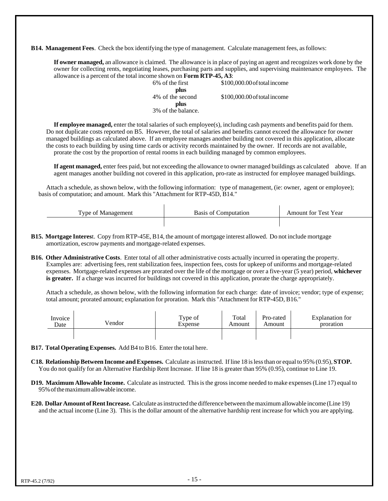**B14. Management Fees**. Check the box identifying the type of management. Calculate management fees, as follows:

**If owner managed,** an allowance is claimed. The allowance is in place of paying an agent and recognizes work done by the owner for collecting rents, negotiating leases, purchasing parts and supplies, and supervising maintenance employees. The allowance is a percent of the total income shown on **Form RTP-45, A3**:

| 6\% of the first   | \$100,000.00 of total income |
|--------------------|------------------------------|
| plus               |                              |
| 4\% of the second  | \$100,000.00 of total income |
| plus               |                              |
| 3% of the balance. |                              |
|                    |                              |

**If employee managed,** enter the total salaries of such employee(s), including cash payments and benefits paid for them. Do not duplicate costs reported on B5. However, the total of salaries and benefits cannot exceed the allowance for owner managed buildings as calculated above. If an employee manages another building not covered in this application, allocate the costs to each building by using time cards or activity records maintained by the owner. If records are not available, prorate the cost by the proportion of rental rooms in each building managed by common employees.

**If agent managed,** enter fees paid, but not exceeding the allowance to owner managed buildings as calculated above. If an agent manages another building not covered in this application, pro-rate as instructed for employee managed buildings.

Attach a schedule, as shown below, with the following information: type of management, (ie: owner, agent or employee); basis of computation; and amount. Mark this "Attachment for RTP-45D, B14."

| $\mathbf{r}$<br><b>vne</b><br>$\sqrt{ }$<br>21 11 | Basis of<br>ι∩r | $v_{\text{ear}}$<br>`ect<br>for<br>.mount |
|---------------------------------------------------|-----------------|-------------------------------------------|
|                                                   |                 |                                           |

- **B15. Mortgage Interes**t. Copy from RTP-45E, B14, the amount of mortgage interest allowed. Do not include mortgage amortization, escrow payments and mortgage-related expenses.
- **B16. Other Administrative Costs**. Enter total of all other administrative costs actually incurred in operating the property. Examples are: advertising fees, rent stabilization fees, inspection fees, costs for upkeep of uniforms and mortgage-related expenses. Mortgage-related expenses are prorated over the life of the mortgage or over a five-year (5 year) period, **whichever is greater.** If a charge was incurred for buildings not covered in this application, prorate the charge appropriately.

Attach a schedule, as shown below, with the following information for each charge: date of invoice; vendor; type of expense; total amount; prorated amount; explanation for proration. Mark this "Attachment for RTP-45D, B16."

| Invoice | Vendor | Type of | Total  | Pro-rated | Explanation for |
|---------|--------|---------|--------|-----------|-----------------|
| Date    |        | Expense | Amount | Amount    | proration       |
|         |        |         |        |           |                 |

- **B17. Total Operating Expenses.** Add B4 to B16. Enter the total here.
- **C18. Relationship Between Income and Expenses.** Calculate as instructed. If line 18 is less than or equal to 95% (0.95), **STOP.** You do not qualify for an Alternative Hardship Rent Increase. If line 18 is greater than 95% (0.95), continue to Line 19.
- **D19. Maximum Allowable Income.** Calculate as instructed. This is the gross income needed to make expenses (Line 17) equal to 95% of the maximum allowable income.
- **E20. Dollar Amount of Rent Increase.** Calculate as instructed the difference between the maximum allowable income (Line 19) and the actual income (Line 3). This is the dollar amount of the alternative hardship rent increase for which you are applying.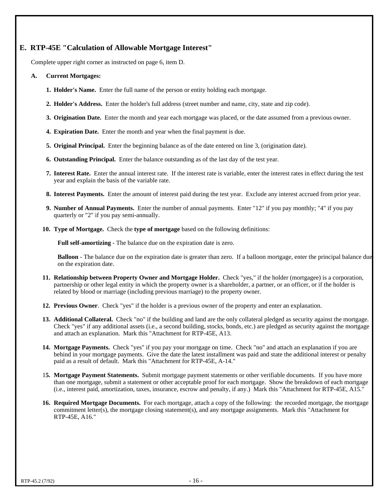#### **E. RTP-45E "Calculation of Allowable Mortgage Interest"**

Complete upper right corner as instructed on page 6, item D.

#### **A. Current Mortgages:**

- **1. Holder's Name.** Enter the full name of the person or entity holding each mortgage.
- **2. Holder's Address.** Enter the holder's full address (street number and name, city, state and zip code).
- **3. Origination Date.** Enter the month and year each mortgage was placed, or the date assumed from a previous owner.
- **4. Expiration Date.** Enter the month and year when the final payment is due.
- **5. Original Principal.** Enter the beginning balance as of the date entered on line 3, (origination date).
- **6. Outstanding Principal.** Enter the balance outstanding as of the last day of the test year.
- **7. Interest Rate.** Enter the annual interest rate. If the interest rate is variable, enter the interest rates in effect during the test year and explain the basis of the variable rate.
- **8. Interest Payments.** Enter the amount of interest paid during the test year. Exclude any interest accrued from prior year.
- **9. Number of Annual Payments.** Enter the number of annual payments. Enter "12" if you pay monthly; "4" if you pay quarterly or "2" if you pay semi-annually.
- **10. Type of Mortgage.** Check the **type of mortgage** based on the following definitions:

**Full self-amortizing** - The balance due on the expiration date is zero.

**Balloon** - The balance due on the expiration date is greater than zero. If a balloon mortgage, enter the principal balance due on the expiration date.

- **11. Relationship between Property Owner and Mortgage Holder.** Check "yes," if the holder (mortgagee) is a corporation, partnership or other legal entity in which the property owner is a shareholder, a partner, or an officer, or if the holder is related by blood or marriage (including previous marriage) to the property owner.
- **12. Previous Owner**. Check "yes" if the holder is a previous owner of the property and enter an explanation.
- 13. Additional Collateral. Check "no" if the building and land are the only collateral pledged as security against the mortgage. Check "yes" if any additional assets (i.e., a second building, stocks, bonds, etc.) are pledged as security against the mortgage and attach an explanation. Mark this "Attachment for RTP-45E, A13.
- **14. Mortgage Payments.** Check "yes" if you pay your mortgage on time. Check "no" and attach an explanation if you are behind in your mortgage payments. Give the date the latest installment was paid and state the additional interest or penalty paid as a result of default. Mark this "Attachment for RTP-45E, A-14."
- 1**5. Mortgage Payment Statements.** Submit mortgage payment statements or other verifiable documents. If you have more than one mortgage, submit a statement or other acceptable proof for each mortgage. Show the breakdown of each mortgage (i.e., interest paid, amortization, taxes, insurance, escrow and penalty, if any.) Mark this "Attachment for RTP-45E, A15."
- **16. Required Mortgage Documents.** For each mortgage, attach a copy of the following: the recorded mortgage, the mortgage commitment letter(s), the mortgage closing statement(s), and any mortgage assignments. Mark this "Attachment for RTP-45E, A16."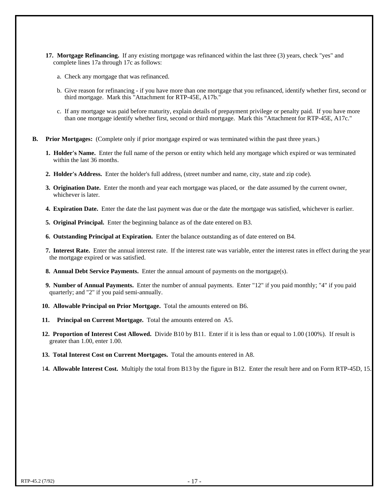- **17. Mortgage Refinancing.** If any existing mortgage was refinanced within the last three (3) years, check "yes" and complete lines 17a through 17c as follows:
	- a. Check any mortgage that was refinanced.
	- b. Give reason for refinancing if you have more than one mortgage that you refinanced, identify whether first, second or third mortgage. Mark this "Attachment for RTP-45E, A17b."
	- c. If any mortgage was paid before maturity, explain details of prepayment privilege or penalty paid. If you have more than one mortgage identify whether first, second or third mortgage. Mark this "Attachment for RTP-45E, A17c."
- **B. Prior Mortgages:** (Complete only if prior mortgage expired or was terminated within the past three years.)
	- **1. Holder's Name.** Enter the full name of the person or entity which held any mortgage which expired or was terminated within the last 36 months.
	- **2. Holder's Address.** Enter the holder's full address, (street number and name, city, state and zip code).
	- **3. Origination Date.** Enter the month and year each mortgage was placed, or the date assumed by the current owner, whichever is later.
	- **4. Expiration Date.** Enter the date the last payment was due or the date the mortgage was satisfied, whichever is earlier.
	- **5. Original Principal.** Enter the beginning balance as of the date entered on B3.
	- **6. Outstanding Principal at Expiration.** Enter the balance outstanding as of date entered on B4.
	- **7. Interest Rate.** Enter the annual interest rate. If the interest rate was variable, enter the interest rates in effect during the year the mortgage expired or was satisfied.
	- **8. Annual Debt Service Payments.** Enter the annual amount of payments on the mortgage(s).
	- **9. Number of Annual Payments.** Enter the number of annual payments. Enter "12" if you paid monthly; "4" if you paid quarterly; and "2" if you paid semi-annually.
	- **10. Allowable Principal on Prior Mortgage.** Total the amounts entered on B6.
	- **11. Principal on Current Mortgage.** Total the amounts entered on A5.
	- **12. Proportion of Interest Cost Allowed.** Divide B10 by B11. Enter if it is less than or equal to 1.00 (100%). If result is greater than 1.00, enter 1.00.
	- **13. Total Interest Cost on Current Mortgages.** Total the amounts entered in A8.
	- 1**4. Allowable Interest Cost.** Multiply the total from B13 by the figure in B12. Enter the result here and on Form RTP-45D, 15.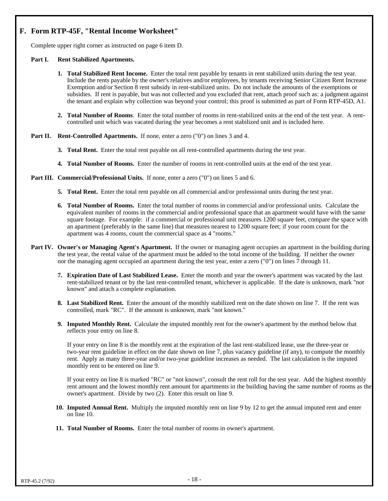# **F. Form RTP-45F, "Rental Income Worksheet"**

Complete upper right corner as instructed on page 6 item D.

#### **Part I. Rent Stabilized Apartments.**

- **1. Total Stabilized Rent Income.** Enter the total rent payable by tenants in rent stabilized units during the test year. Include the rents payable by the owner's relatives and/or employees, by tenants receiving Senior Citizen Rent Increase Exemption and/or Section 8 rent subsidy in rent-stabilized units. Do not include the amounts of the exemptions or subsidies. If rent is payable, but was not collected and you excluded that rent, attach proof such as: a judgment against the tenant and explain why collection was beyond your control; this proof is submitted as part of Form RTP-45D, A1.
- **2. Total Number of Rooms**. Enter the total number of rooms in rent-stabilized units at the end of the test year. A rentcontrolled unit which was vacated during the year becomes a rent stabilized unit and is included here.
- Part II. Rent-Controlled Apartments. If none, enter a zero ("0") on lines 3 and 4.
	- **3. Total Rent.** Enter the total rent payable on all rent-controlled apartments during the test year.
	- **4. Total Number of Rooms.** Enter the number of rooms in rent-controlled units at the end of the test year.
- **Part III. Commercial/Professional Units.** If none, enter a zero ("0") on lines 5 and 6.
	- **5. Total Rent.** Enter the total rent payable on all commercial and/or professional units during the test year.
	- **6. Total Number of Rooms.** Enter the total number of rooms in commercial and/or professional units. Calculate the equivalent number of rooms in the commercial and/or professional space that an apartment would have with the same square footage. For example: if a commercial or professional unit measures 1200 square feet, compare the space with an apartment (preferably in the same line) that measures nearest to 1200 square feet; if your room count for the apartment was 4 rooms, count the commercial space as 4 "rooms."
- **Part IV. Owner's or Managing Agent's Apartment.** If the owner or managing agent occupies an apartment in the building during the test year, the rental value of the apartment must be added to the total income of the building. If neither the owner nor the managing agent occupied an apartment during the test year, enter a zero ("0") on lines 7 through 11.
	- **7. Expiration Date of Last Stabilized Lease.** Enter the month and year the owner's apartment was vacated by the last rent-stabilized tenant or by the last rent-controlled tenant, whichever is applicable. If the date is unknown, mark "not known" and attach a complete explanation.
	- **8. Last Stabilized Rent.** Enter the amount of the monthly stabilized rent on the date shown on line 7. If the rent was controlled, mark "RC". If the amount is unknown, mark "not known."
	- **9. Imputed Monthly Rent.** Calculate the imputed monthly rent for the owner's apartment by the method below that reflects your entry on line 8.

If your entry on line 8 is the monthly rent at the expiration of the last rent-stabilized lease, use the three-year or two-year rent guideline in effect on the date shown on line 7, plus vacancy guideline (if any), to compute the monthly rent. Apply as many three-year and/or two-year guideline increases as needed. The last calculation is the imputed monthly rent to be entered on line 9.

If your entry on line 8 is marked "RC" or "not known", consult the rent roll for the test year. Add the highest monthly rent amount and the lowest monthly rent amount for apartments in the building having the same number of rooms as the owner's apartment. Divide by two (2). Enter this result on line 9.

- **10. Imputed Annual Rent.** Multiply the imputed monthly rent on line 9 by 12 to get the annual imputed rent and enter on line 10.
- **11. Total Number of Rooms.** Enter the total number of rooms in owner's apartment.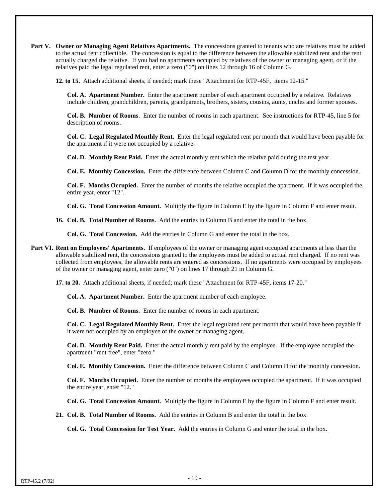**Part V. Owner or Managing Agent Relatives Apartments.** The concessions granted to tenants who are relatives must be added to the actual rent collectible. The concession is equal to the difference between the allowable stabilized rent and the rent actually charged the relative. If you had no apartments occupied by relatives of the owner or managing agent, or if the relatives paid the legal regulated rent, enter a zero ("0") on lines 12 through 16 of Column G.

**12. to 15.** Attach additional sheets, if needed; mark these "Attachment for RTP-45F, items 12-15."

**Col. A. Apartment Number.** Enter the apartment number of each apartment occupied by a relative. Relatives include children, grandchildren, parents, grandparents, brothers, sisters, cousins, aunts, uncles and former spouses.

**Col. B. Number of Rooms**. Enter the number of rooms in each apartment. See instructions for RTP-45, line 5 for description of rooms.

**Col. C. Legal Regulated Monthly Rent.** Enter the legal regulated rent per month that would have been payable for the apartment if it were not occupied by a relative.

**Col. D. Monthly Rent Paid.** Enter the actual monthly rent which the relative paid during the test year.

**Col. E. Monthly Concession.** Enter the difference between Column C and Column D for the monthly concession.

**Col. F. Months Occupied.** Enter the number of months the relative occupied the apartment. If it was occupied the entire year, enter "12".

**Col. G. Total Concession Amount.** Multiply the figure in Column E by the figure in Column F and enter result.

**16. Col. B. Total Number of Rooms.** Add the entries in Column B and enter the total in the box.

**Col. G. Total Concession.** Add the entries in Column G and enter the total in the box.

**Part VI. Rent on Employees' Apartments.** If employees of the owner or managing agent occupied apartments at less than the allowable stabilized rent, the concessions granted to the employees must be added to actual rent charged. If no rent was collected from employees, the allowable rents are entered as concessions. If no apartments were occupied by employees of the owner or managing agent, enter zero ("0") on lines 17 through 21 in Column G.

**17. to 20.** Attach additional sheets, if needed; mark these "Attachment for RTP-45F, items 17-20."

**Col. A. Apartment Number.** Enter the apartment number of each employee.

**Col. B. Number of Rooms.** Enter the number of rooms in each apartment.

**Col. C. Legal Regulated Monthly Rent.** Enter the legal regulated rent per month that would have been payable if it were not occupied by an employee of the owner or managing agent.

**Col. D. Monthly Rent Paid.** Enter the actual monthly rent paid by the employee. If the employee occupied the apartment "rent free", enter "zero."

**Col. E. Monthly Concession.** Enter the difference between Column C and Column D for the monthly concession.

**Col. F. Months Occupied.** Enter the number of months the employees occupied the apartment. If it was occupied the entire year, enter "12."

**Col. G. Total Concession Amount.** Multiply the figure in Column E by the figure in Column F and enter result.

**21. Col. B. Total Number of Rooms.** Add the entries in Column B and enter the total in the box.

**Col. G. Total Concession for Test Year.** Add the entries in Column G and enter the total in the box.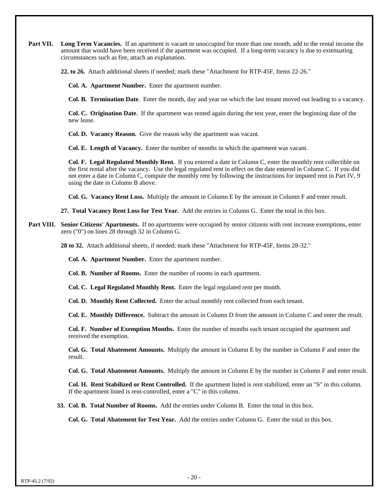**Part VII.** Long Term Vacancies. If an apartment is vacant or unoccupied for more than one month, add to the rental income the amount that would have been received if the apartment was occupied. If a long-term vacancy is due to extenuating circumstances such as fire, attach an explanation.

**22. to 26.** Attach additional sheets if needed; mark these "Attachment for RTP-45F, Items 22-26."

**Col. A. Apartment Number.** Enter the apartment number.

**Col. B. Termination Date**. Enter the month, day and year on which the last tenant moved out leading to a vacancy.

**Col. C. Origination Date**. If the apartment was rented again during the test year, enter the beginning date of the new lease.

**Col. D. Vacancy Reason.** Give the reason why the apartment was vacant.

**Col. E. Length of Vacancy.** Enter the number of months in which the apartment was vacant.

**Col. F. Legal Regulated Monthly Rent.** If you entered a date in Column C, enter the monthly rent collectible on the first rental after the vacancy. Use the legal regulated rent in effect on the date entered in Column C. If you did not enter a date in Column C, compute the monthly rent by following the instructions for imputed rent in Part IV, 9 using the date in Column B above.

**Col. G. Vacancy Rent Loss.** Multiply the amount in Column E by the amount in Column F and enter result.

**27. Total Vacancy Rent Loss for Test Year.** Add the entries in Column G. Enter the total in this box.

**Part VIII. Senior Citizens' Apartments.** If no apartments were occupied by senior citizens with rent increase exemptions, enter zero ("0") on lines 28 through 32 in Column G.

**28 to 32.** Attach additional sheets, if needed; mark these "Attachment for RTP-45F, Items 28-32."

**Col. A. Apartment Number.** Enter the apartment number.

**Col. B. Number of Rooms.** Enter the number of rooms in each apartment.

**Col. C. Legal Regulated Monthly Rent.** Enter the legal regulated rent per month.

**Col. D. Monthly Rent Collected.** Enter the actual monthly rent collected from each tenant.

**Col. E. Monthly Difference.** Subtract the amount in Column D from the amount in Column C and enter the result.

**Col. F. Number of Exemption Months.** Enter the number of months each tenant occupied the apartment and received the exemption.

**Col. G. Total Abatement Amounts.** Multiply the amount in Column E by the number in Column F and enter the result.

**Col. G. Total Abatement Amounts.** Multiply the amount in Column E by the number in Column F and enter result.

**Col. H. Rent Stabilized or Rent Controlled.** If the apartment listed is rent stabilized, enter an "S" in this column. If the apartment listed is rent-controlled, enter a "C" in this column.

**33. Col. B. Total Number of Rooms.** Add the entries under Column B. Enter the total in this box.

**Col. G. Total Abatement for Test Year.** Add the entries under Column G. Enter the total in this box.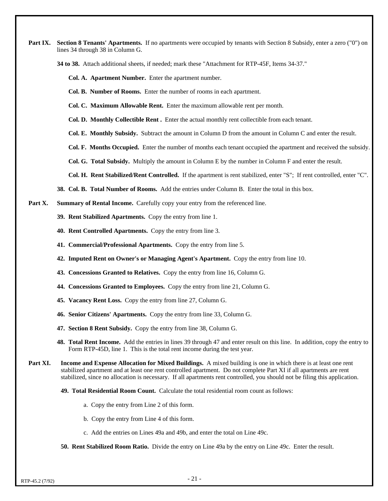**Part IX.** Section 8 Tenants' Apartments. If no apartments were occupied by tenants with Section 8 Subsidy, enter a zero ("0") on lines 34 through 38 in Column G.

**34 to 38.** Attach additional sheets, if needed; mark these "Attachment for RTP-45F, Items 34-37."

**Col. A. Apartment Number.** Enter the apartment number.

**Col. B. Number of Rooms.** Enter the number of rooms in each apartment.

**Col. C. Maximum Allowable Rent.** Enter the maximum allowable rent per month.

**Col. D. Monthly Collectible Rent .** Enter the actual monthly rent collectible from each tenant.

**Col. E. Monthly Subsidy.** Subtract the amount in Column D from the amount in Column C and enter the result.

- **Col. F. Months Occupied.** Enter the number of months each tenant occupied the apartment and received the subsidy.
- **Col. G. Total Subsidy.** Multiply the amount in Column E by the number in Column F and enter the result.

**Col. H. Rent Stabilized/Rent Controlled.** If the apartment is rent stabilized, enter "S"; If rent controlled, enter "C".

**38. Col. B. Total Number of Rooms.** Add the entries under Column B. Enter the total in this box.

**Part X.** Summary of Rental Income. Carefully copy your entry from the referenced line.

- **39. Rent Stabilized Apartments.** Copy the entry from line 1.
- **40. Rent Controlled Apartments.** Copy the entry from line 3.
- **41. Commercial/Professional Apartments.** Copy the entry from line 5.
- **42. Imputed Rent on Owner's or Managing Agent's Apartment.** Copy the entry from line 10.
- **43. Concessions Granted to Relatives.** Copy the entry from line 16, Column G.
- **44. Concessions Granted to Employees.** Copy the entry from line 21, Column G.
- **45. Vacancy Rent Loss.** Copy the entry from line 27, Column G.
- **46. Senior Citizens' Apartments.** Copy the entry from line 33, Column G.
- **47. Section 8 Rent Subsidy.** Copy the entry from line 38, Column G.
- **48. Total Rent Income.** Add the entries in lines 39 through 47 and enter result on this line. In addition, copy the entry to Form RTP-45D, line 1. This is the total rent income during the test year.
- **Part XI. Income and Expense Allocation for Mixed Buildings.** A mixed building is one in which there is at least one rent stabilized apartment and at least one rent controlled apartment. Do not complete Part XI if all apartments are rent stabilized, since no allocation is necessary. If all apartments rent controlled, you should not be filing this application.

**49. Total Residential Room Count.** Calculate the total residential room count as follows:

- a. Copy the entry from Line 2 of this form.
- b. Copy the entry from Line 4 of this form.
- c. Add the entries on Lines 49a and 49b, and enter the total on Line 49c.
- **50. Rent Stabilized Room Ratio.** Divide the entry on Line 49a by the entry on Line 49c. Enter the result.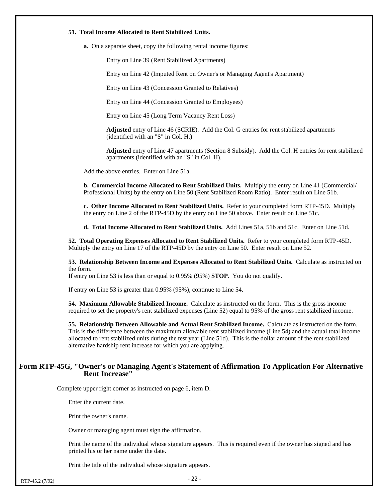#### **51. Total Income Allocated to Rent Stabilized Units.**

**a.** On a separate sheet, copy the following rental income figures:

Entry on Line 39 (Rent Stabilized Apartments)

Entry on Line 42 (Imputed Rent on Owner's or Managing Agent's Apartment)

Entry on Line 43 (Concession Granted to Relatives)

Entry on Line 44 (Concession Granted to Employees)

Entry on Line 45 (Long Term Vacancy Rent Loss)

**Adjusted** entry of Line 46 (SCRIE). Add the Col. G entries for rent stabilized apartments (identified with an "S" in Col. H.)

**Adjusted** entry of Line 47 apartments (Section 8 Subsidy). Add the Col. H entries for rent stabilized apartments (identified with an "S" in Col. H).

Add the above entries. Enter on Line 51a.

**b. Commercial Income Allocated to Rent Stabilized Units.** Multiply the entry on Line 41 (Commercial/ Professional Units) by the entry on Line 50 (Rent Stabilized Room Ratio). Enter result on Line 51b.

**c. Other Income Allocated to Rent Stabilized Units.** Refer to your completed form RTP-45D. Multiply the entry on Line 2 of the RTP-45D by the entry on Line 50 above. Enter result on Line 51c.

**d. Total Income Allocated to Rent Stabilized Units.** Add Lines 51a, 51b and 51c. Enter on Line 51d.

**52. Total Operating Expenses Allocated to Rent Stabilized Units.** Refer to your completed form RTP-45D. Multiply the entry on Line 17 of the RTP-45D by the entry on Line 50. Enter result on Line 52.

**53. Relationship Between Income and Expenses Allocated to Rent Stabilized Units.** Calculate as instructed on the form.

If entry on Line 53 is less than or equal to 0.95% (95%) **STOP**. You do not qualify.

If entry on Line 53 is greater than 0.95% (95%), continue to Line 54.

**54. Maximum Allowable Stabilized Income.** Calculate as instructed on the form. This is the gross income required to set the property's rent stabilized expenses (Line 52) equal to 95% of the gross rent stabilized income.

**55. Relationship Between Allowable and Actual Rent Stabilized Income.** Calculate as instructed on the form. This is the difference between the maximum allowable rent stabilized income (Line 54) and the actual total income allocated to rent stabilized units during the test year (Line 51d). This is the dollar amount of the rent stabilized alternative hardship rent increase for which you are applying.

#### **Form RTP-45G, "Owner's or Managing Agent's Statement of Affirmation To Application For Alternative Rent Increase"**

Complete upper right corner as instructed on page 6, item D.

Enter the current date.

Print the owner's name.

Owner or managing agent must sign the affirmation.

Print the name of the individual whose signature appears. This is required even if the owner has signed and has printed his or her name under the date.

Print the title of the individual whose signature appears.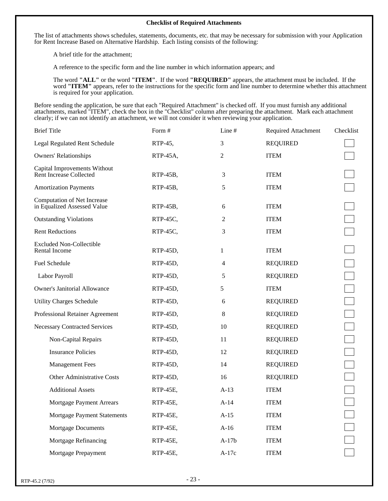#### **Checklist of Required Attachments**

The list of attachments shows schedules, statements, documents, etc. that may be necessary for submission with your Application for Rent Increase Based on Alternative Hardship. Each listing consists of the following:

A brief title for the attachment;

A reference to the specific form and the line number in which information appears; and

The word **"ALL"** or the word **"ITEM"**. If the word **"REQUIRED"** appears, the attachment must be included. If the word **"ITEM"** appears, refer to the instructions for the specific form and line number to determine whether this attachment is required for your application.

Before sending the application, be sure that each "Required Attachment" is checked off. If you must furnish any additional attachments, marked "ITEM", check the box in the "Checklist" column after preparing the attachment. Mark each attachment clearly; if we can not identify an attachment, we will not consider it when reviewing your application.

| Form #   | Line $#$ | <b>Required Attachment</b> | Checklist |
|----------|----------|----------------------------|-----------|
| RTP-45,  | 3        | <b>REQUIRED</b>            |           |
| RTP-45A, | 2        | <b>ITEM</b>                |           |
| RTP-45B, | 3        | <b>ITEM</b>                |           |
| RTP-45B, | 5        | <b>ITEM</b>                |           |
| RTP-45B, | 6        | <b>ITEM</b>                |           |
| RTP-45C, | 2        | <b>ITEM</b>                |           |
| RTP-45C, | 3        | <b>ITEM</b>                |           |
| RTP-45D, | 1        | <b>ITEM</b>                |           |
| RTP-45D, | 4        | <b>REQUIRED</b>            |           |
| RTP-45D, | 5        | <b>REQUIRED</b>            |           |
| RTP-45D, | 5        | <b>ITEM</b>                |           |
| RTP-45D, | 6        | <b>REQUIRED</b>            |           |
| RTP-45D, | 8        | <b>REQUIRED</b>            |           |
| RTP-45D, | 10       | <b>REQUIRED</b>            |           |
| RTP-45D, | 11       | <b>REQUIRED</b>            |           |
| RTP-45D, | 12       | <b>REQUIRED</b>            |           |
| RTP-45D, | 14       | <b>REQUIRED</b>            |           |
| RTP-45D, | 16       | <b>REQUIRED</b>            |           |
| RTP-45E, | $A-13$   | <b>ITEM</b>                |           |
| RTP-45E, | $A-14$   | <b>ITEM</b>                |           |
| RTP-45E, | $A-15$   | <b>ITEM</b>                |           |
| RTP-45E, | $A-16$   | <b>ITEM</b>                |           |
| RTP-45E, | $A-17b$  | <b>ITEM</b>                |           |
| RTP-45E, | $A-17c$  | <b>ITEM</b>                |           |
|          |          |                            |           |